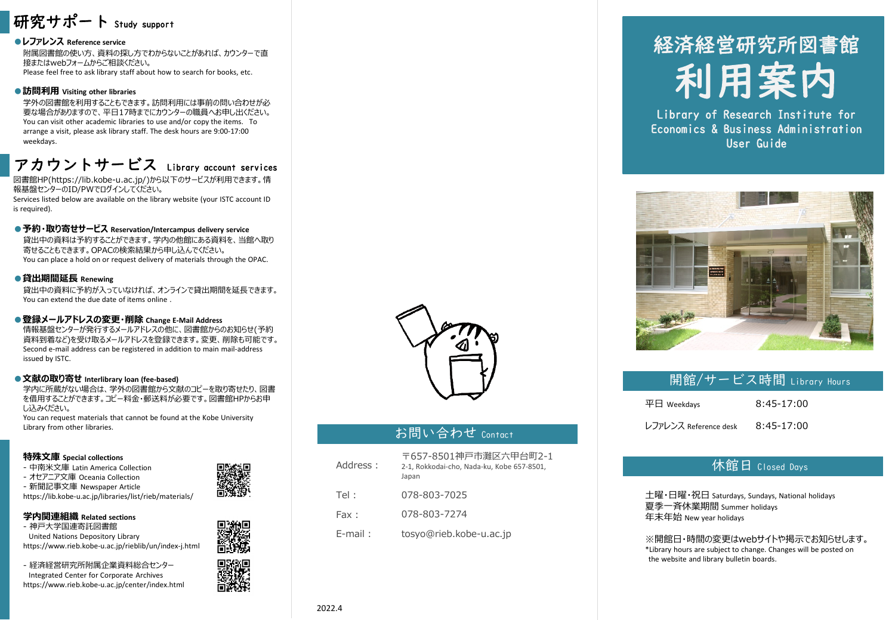

## **●レファレンス Reference service**

附属図書館の使い方、資料の探し方でわからないことがあれば、カウンターで直 接またはwebフォームからご相談ください。 Please feel free to ask library staff about how to search for books, etc.

### **●訪問利用 Visiting other libraries**

学外の図書館を利用することもできます。訪問利用には事前の問い合わせが必 要な場合がありますので、平日17時までにカウンターの職員へお申し出ください。 You can visit other academic libraries to use and/or copy the items. To arrange a visit, please ask library staff. The desk hours are 9:00-17:00 weekdays.

## アカウントサービス Library account services

図書館HP(https://lib.kobe-u.ac.jp/)から以下のサービスが利用できます。情 報基盤センターのID/PWでログインしてください。

Services listed below are available on the library website (your ISTC account ID is required).

#### **●予約・取り寄せサービス Reservation/Intercampus delivery service**

貸出中の資料は予約することができます。学内の他館にある資料を、当館へ取り 寄せることもできます。OPACの検索結果から申し込んでください。 You can place a hold on or request delivery of materials through the OPAC.

#### **●貸出期間延長 Renewing**

貸出中の資料に予約が入っていなければ、オンラインで貸出期間を延長できます。 You can extend the due date of items online .

## **●登録メールアドレスの変更・削除 Change E-Mail Address**

情報基盤センターが発行するメールアドレスの他に、図書館からのお知らせ(予約 資料到着など)を受け取るメールアドレスを登録できます。変更、削除も可能です。 Second e-mail address can be registered in addition to main mail-address issued by ISTC.

#### **●文献の取り寄せ Interlibrary loan (fee-based)**

学内に所蔵がない場合は、学外の図書館から文献のコピーを取り寄せたり、図書 を借用することができます。コピー料金・郵送料が必要です。図書館HPからお申 し込みください。

You can request materials that cannot be found at the Kobe University Library from other libraries.

### **特殊文庫 Special collections**

- 中南米文庫 Latin America Collection
- オセアニア文庫 Oceania Collection

- 新聞記事文庫 Newspaper Article

https://lib.kobe-u.ac.jp/libraries/list/rieb/materials/

## **学内関連組織 Related sections**

- 神戸大学国連寄託図書館 United Nations Depository Library https://www.rieb.kobe-u.ac.jp/rieblib/un/index-j.html

- 経済経営研究所附属企業資料総合センター Integrated Center for Corporate Archives https://www.rieb.kobe-u.ac.jp/center/index.html



## お問い合わせ Contact

| Address:   | 〒657-8501神戸市灘区六甲台町2-1<br>2-1, Rokkodai-cho, Nada-ku, Kobe 657-8501,<br>Japan |
|------------|------------------------------------------------------------------------------|
| Tel:       | 078-803-7025                                                                 |
| Fax:       | 078-803-7274                                                                 |
| $E$ -mail: | tosyo@rieb.kobe-u.ac.jp                                                      |

# 経済経営研究所図書館 利用案内

Library of Research Institute for Economics & Business Administration User Guide



## 開館/サービス時間 Library Hours

| $\Psi$ Weekdays       | $8:45-17:00$ |
|-----------------------|--------------|
| レファレンス Reference desk | $8:45-17:00$ |

## 休館日 Closed Days

土曜・日曜・祝日 Saturdays, Sundays, National holidays 夏季一斉休業期間 Summer holidays 年末年始 New year holidays

※開館日・時間の変更はwebサイトや掲示でお知らせします。 \*Library hours are subject to change. Changes will be posted on the website and library bulletin boards.